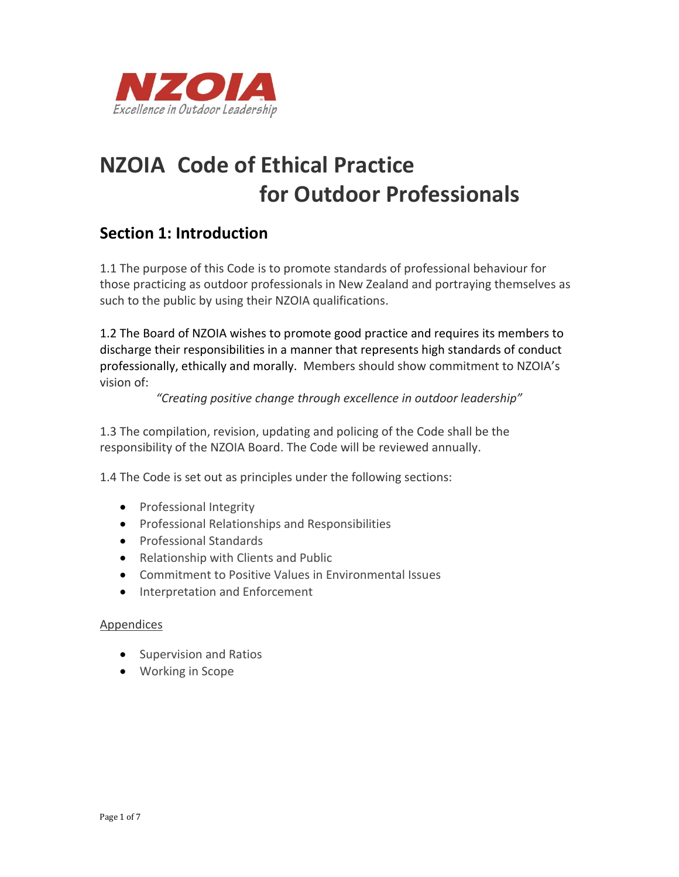

# **NZOIA Code of Ethical Practice for Outdoor Professionals**

### **Section 1: Introduction**

1.1 The purpose of this Code is to promote standards of professional behaviour for those practicing as outdoor professionals in New Zealand and portraying themselves as such to the public by using their NZOIA qualifications.

1.2 The Board of NZOIA wishes to promote good practice and requires its members to discharge their responsibilities in a manner that represents high standards of conduct professionally, ethically and morally. Members should show commitment to NZOIA's vision of:

*"Creating positive change through excellence in outdoor leadership"*

1.3 The compilation, revision, updating and policing of the Code shall be the responsibility of the NZOIA Board. The Code will be reviewed annually.

1.4 The Code is set out as principles under the following sections:

- Professional Integrity
- Professional Relationships and Responsibilities
- **•** Professional Standards
- Relationship with Clients and Public
- Commitment to Positive Values in Environmental Issues
- Interpretation and Enforcement

#### Appendices

- **•** Supervision and Ratios
- Working in Scope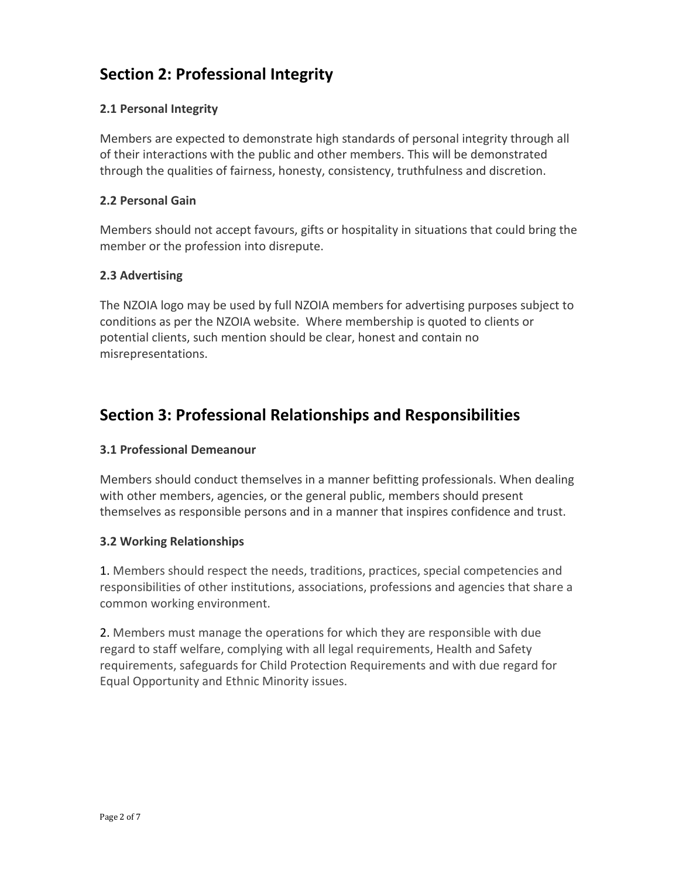# **Section 2: Professional Integrity**

#### **2.1 Personal Integrity**

Members are expected to demonstrate high standards of personal integrity through all of their interactions with the public and other members. This will be demonstrated through the qualities of fairness, honesty, consistency, truthfulness and discretion.

#### **2.2 Personal Gain**

Members should not accept favours, gifts or hospitality in situations that could bring the member or the profession into disrepute.

#### **2.3 Advertising**

The NZOIA logo may be used by full NZOIA members for advertising purposes subject to conditions as per the NZOIA website. Where membership is quoted to clients or potential clients, such mention should be clear, honest and contain no misrepresentations.

### **Section 3: Professional Relationships and Responsibilities**

#### **3.1 Professional Demeanour**

Members should conduct themselves in a manner befitting professionals. When dealing with other members, agencies, or the general public, members should present themselves as responsible persons and in a manner that inspires confidence and trust.

#### **3.2 Working Relationships**

1. Members should respect the needs, traditions, practices, special competencies and responsibilities of other institutions, associations, professions and agencies that share a common working environment.

2. Members must manage the operations for which they are responsible with due regard to staff welfare, complying with all legal requirements, Health and Safety requirements, safeguards for Child Protection Requirements and with due regard for Equal Opportunity and Ethnic Minority issues.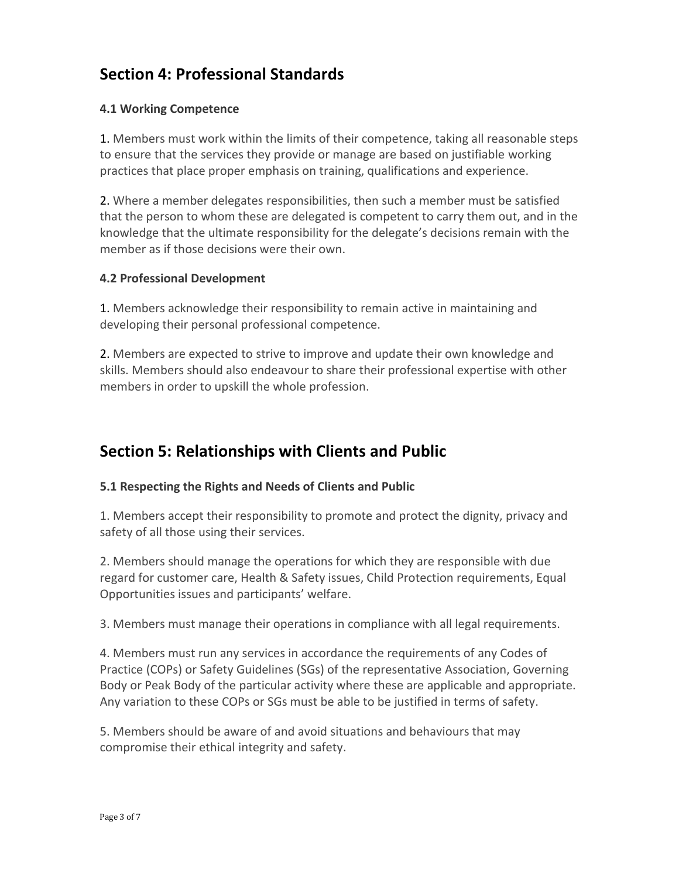# **Section 4: Professional Standards**

#### **4.1 Working Competence**

1. Members must work within the limits of their competence, taking all reasonable steps to ensure that the services they provide or manage are based on justifiable working practices that place proper emphasis on training, qualifications and experience.

2. Where a member delegates responsibilities, then such a member must be satisfied that the person to whom these are delegated is competent to carry them out, and in the knowledge that the ultimate responsibility for the delegate's decisions remain with the member as if those decisions were their own.

#### **4.2 Professional Development**

1. Members acknowledge their responsibility to remain active in maintaining and developing their personal professional competence.

2. Members are expected to strive to improve and update their own knowledge and skills. Members should also endeavour to share their professional expertise with other members in order to upskill the whole profession.

### **Section 5: Relationships with Clients and Public**

#### **5.1 Respecting the Rights and Needs of Clients and Public**

1. Members accept their responsibility to promote and protect the dignity, privacy and safety of all those using their services.

2. Members should manage the operations for which they are responsible with due regard for customer care, Health & Safety issues, Child Protection requirements, Equal Opportunities issues and participants' welfare.

3. Members must manage their operations in compliance with all legal requirements.

4. Members must run any services in accordance the requirements of any Codes of Practice (COPs) or Safety Guidelines (SGs) of the representative Association, Governing Body or Peak Body of the particular activity where these are applicable and appropriate. Any variation to these COPs or SGs must be able to be justified in terms of safety.

5. Members should be aware of and avoid situations and behaviours that may compromise their ethical integrity and safety.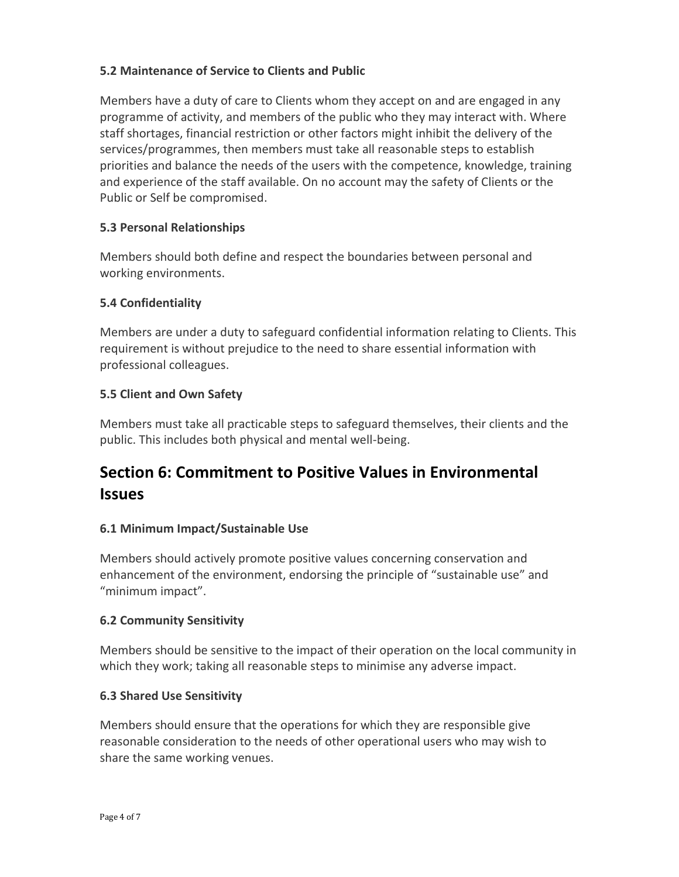#### **5.2 Maintenance of Service to Clients and Public**

Members have a duty of care to Clients whom they accept on and are engaged in any programme of activity, and members of the public who they may interact with. Where staff shortages, financial restriction or other factors might inhibit the delivery of the services/programmes, then members must take all reasonable steps to establish priorities and balance the needs of the users with the competence, knowledge, training and experience of the staff available. On no account may the safety of Clients or the Public or Self be compromised.

#### **5.3 Personal Relationships**

Members should both define and respect the boundaries between personal and working environments.

#### **5.4 Confidentiality**

Members are under a duty to safeguard confidential information relating to Clients. This requirement is without prejudice to the need to share essential information with professional colleagues.

#### **5.5 Client and Own Safety**

Members must take all practicable steps to safeguard themselves, their clients and the public. This includes both physical and mental well-being.

# **Section 6: Commitment to Positive Values in Environmental Issues**

#### **6.1 Minimum Impact/Sustainable Use**

Members should actively promote positive values concerning conservation and enhancement of the environment, endorsing the principle of "sustainable use" and "minimum impact".

#### **6.2 Community Sensitivity**

Members should be sensitive to the impact of their operation on the local community in which they work; taking all reasonable steps to minimise any adverse impact.

#### **6.3 Shared Use Sensitivity**

Members should ensure that the operations for which they are responsible give reasonable consideration to the needs of other operational users who may wish to share the same working venues.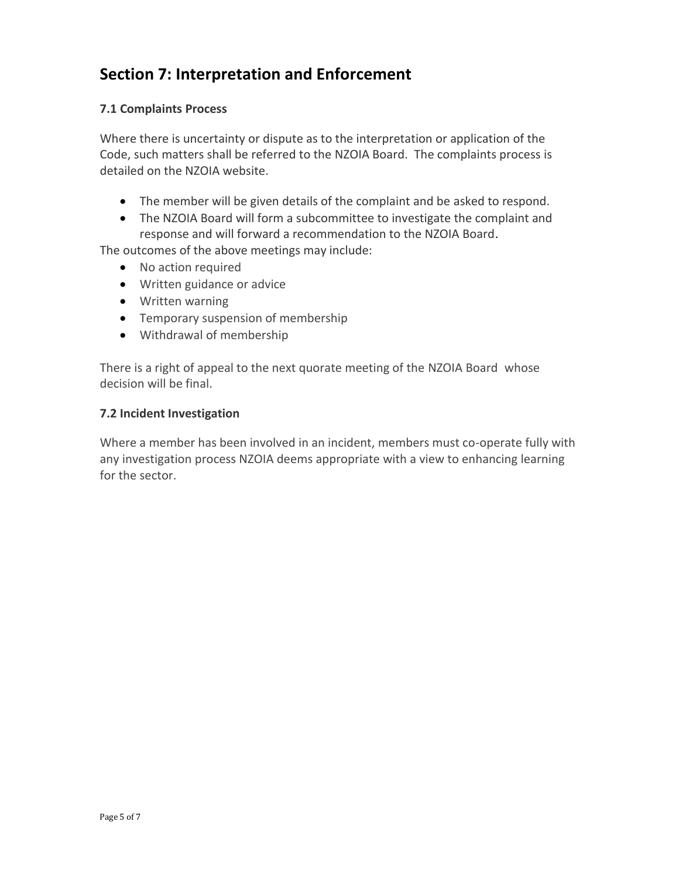# **Section 7: Interpretation and Enforcement**

#### **7.1 Complaints Process**

Where there is uncertainty or dispute as to the interpretation or application of the Code, such matters shall be referred to the NZOIA Board. The complaints process is detailed on the NZOIA website.

- The member will be given details of the complaint and be asked to respond.
- The NZOIA Board will form a subcommittee to investigate the complaint and response and will forward a recommendation to the NZOIA Board.

The outcomes of the above meetings may include:

- No action required
- Written guidance or advice
- Written warning
- Temporary suspension of membership
- Withdrawal of membership

There is a right of appeal to the next quorate meeting of the NZOIA Board whose decision will be final.

#### **7.2 Incident Investigation**

Where a member has been involved in an incident, members must co-operate fully with any investigation process NZOIA deems appropriate with a view to enhancing learning for the sector.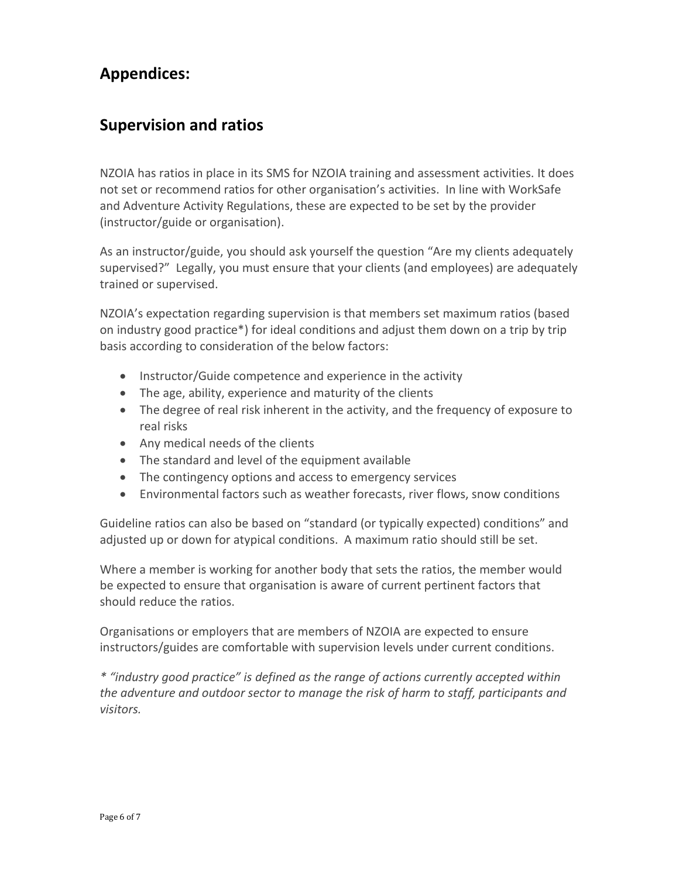### **Appendices:**

### **Supervision and ratios**

NZOIA has ratios in place in its SMS for NZOIA training and assessment activities. It does not set or recommend ratios for other organisation's activities. In line with WorkSafe and Adventure Activity Regulations, these are expected to be set by the provider (instructor/guide or organisation).

As an instructor/guide, you should ask yourself the question "Are my clients adequately supervised?" Legally, you must ensure that your clients (and employees) are adequately trained or supervised.

NZOIA's expectation regarding supervision is that members set maximum ratios (based on industry good practice\*) for ideal conditions and adjust them down on a trip by trip basis according to consideration of the below factors:

- Instructor/Guide competence and experience in the activity
- The age, ability, experience and maturity of the clients
- The degree of real risk inherent in the activity, and the frequency of exposure to real risks
- Any medical needs of the clients
- The standard and level of the equipment available
- The contingency options and access to emergency services
- Environmental factors such as weather forecasts, river flows, snow conditions

Guideline ratios can also be based on "standard (or typically expected) conditions" and adjusted up or down for atypical conditions. A maximum ratio should still be set.

Where a member is working for another body that sets the ratios, the member would be expected to ensure that organisation is aware of current pertinent factors that should reduce the ratios.

Organisations or employers that are members of NZOIA are expected to ensure instructors/guides are comfortable with supervision levels under current conditions.

*\* "industry good practice" is defined as the range of actions currently accepted within the adventure and outdoor sector to manage the risk of harm to staff, participants and visitors.*